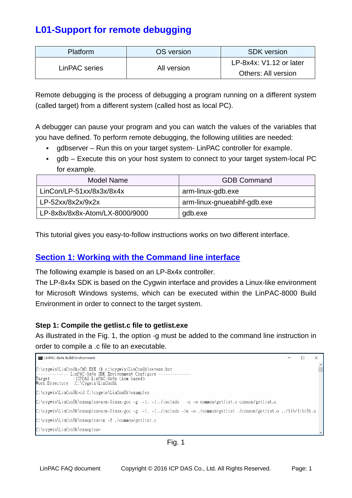# **L01-Support for remote debugging**

| <b>Platform</b> | OS version  | <b>SDK</b> version         |  |  |
|-----------------|-------------|----------------------------|--|--|
| LinPAC series   |             | $LP-8x4x$ : V1.12 or later |  |  |
|                 | All version | Others: All version        |  |  |

Remote debugging is the process of debugging a program running on a different system (called target) from a different system (called host as local PC).

A debugger can pause your program and you can watch the values of the variables that you have defined. To perform remote debugging, the following utilities are needed:

- gdbserver Run this on your target system- LinPAC controller for example.
- gdb Execute this on your host system to connect to your target system-local PC for example.

| Model Name                     | <b>GDB Command</b>          |
|--------------------------------|-----------------------------|
| LinCon/LP-51xx/8x3x/8x4x       | arm-linux-gdb.exe           |
| $LP-52xx/8x2x/9x2x$            | arm-linux-gnueabihf-gdb.exe |
| LP-8x8x/8x8x-Atom/LX-8000/9000 | gdb.exe                     |

This tutorial gives you easy-to-follow instructions works on two different interface.

# **Section 1: Working with the Command line interface**

The following example is based on an LP-8x4x controller.

The LP-8x4x SDK is based on the Cygwin interface and provides a Linux-like environment for Microsoft Windows systems, which can be executed within the LinPAC-8000 Build Environment in order to connect to the target system.

## **Step 1: Compile the getlist.c file to getlist.exe**

As illustrated in the Fig. 1, the option -g must be added to the command line instruction in order to compile a .c file to an executable.

```
Exit LinPAC-8x4x Build Environment
                                                                                                                                                              \Box\timesC:\cygwin\LinCon8k>CMD.EXE /k c:\cygwin\LinCon8k\setenv.bat<br>------------- LinPAC-8x4x SDK Environment Configure ------<br>Target           :ICPDAS LinPAC-8x4x (Arm based)<br>Work Directory  :C:\Cygwin\LinCon8k
C:\cygwin\LinCon8k>cd C:\cygwin\LinCon8k\examples
C:\cygwin\LinCon8k\examples>arm-linux-gcc -g -I. -I../include -c -o common/getlist.o common/getlist.c
C:\cygwin\LinCon8k\examples>arm-linux-gcc -g -I. -I../include -1m -o ./common/getlist ./common/getlist.o ../lib/libi8k.a
C:\cygwin\LinCon8k\examples>rm -f ./common/getlist.o
C:\cygwin\LinCon8k\examples>
```

```
Fig. 1
```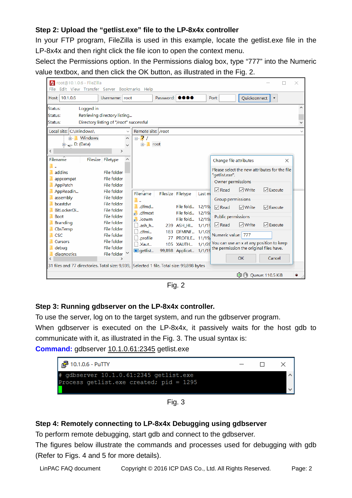## **Step 2: Upload the "getlist.exe" file to the LP-8x4x controller**

In your FTP program, FileZilla is used in this example, locate the getlist.exe file in the LP-8x4x and then right click the file icon to open the context menu.

Select the Permissions option. In the Permissions dialog box, type "777" into the Numeric value textbox, and then click the OK button, as illustrated in the Fig. 2.



Fig. 2

## **Step 3: Running gdbserver on the LP-8x4x controller.**

To use the server, log on to the target system, and run the gdbserver program.

When gdbserver is executed on the LP-8x4x, it passively waits for the host gdb to communicate with it, as illustrated in the Fig. 3. The usual syntax is:

**Command:** gdbserver 10.1.0.61:2345 getlist.exe

| $\frac{3}{2}$ 10.1.0.6 - PuTTY                                                                  | $\Box$ |  |
|-------------------------------------------------------------------------------------------------|--------|--|
| # qdbserver $10.1.0.\overline{61:}2345$ qetlist.exe<br>Process getlist. exe created; pid = 1295 |        |  |
|                                                                                                 |        |  |

Fig. 3

#### **Step 4: Remotely connecting to LP-8x4x Debugging using gdbserver**

To perform remote debugging, start gdb and connect to the gdbserver.

The figures below illustrate the commands and processes used for debugging with gdb (Refer to Figs. 4 and 5 for more details).

LinPAC FAQ document Copyright © 2016 ICP DAS Co., Ltd. All Rights Reserved. Page: 2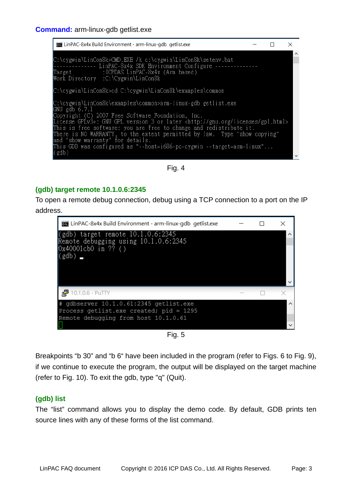

Fig. 4

#### **(gdb) target remote 10.1.0.6:2345**

To open a remote debug connection, debug using a TCP connection to a port on the IP address.



Fig. 5

Breakpoints "b 30" and "b 6" have been included in the program (refer to Figs. 6 to Fig. 9), if we continue to execute the program, the output will be displayed on the target machine (refer to Fig. 10). To exit the gdb, type "q" (Quit).

#### **(gdb) list**

The "list" command allows you to display the demo code. By default, GDB prints ten source lines with any of these forms of the list command.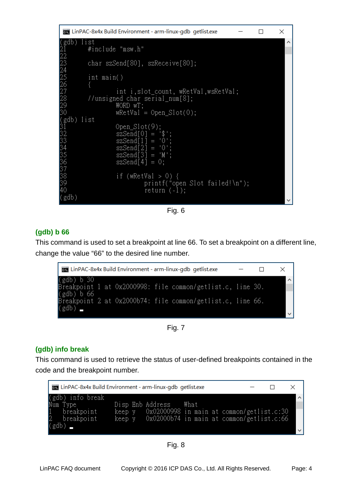```
Exa LinPAC-8x4x Build Environment - arm-linux-gdb getlist.exe
                                                                                 \Box\timesgdb) list
           #include "msw.h"
           char szSend[80], szReceive[80];
           int main()
\frac{26}{228}int i, slot_count, wRetVal, wsRetVal;
           //unsigned char serial_num[8];
                      WORD wT;<br>wRetVal = Open_Slot(0);
30
(gdb) list<br>31<br>32
                       Open Slot(9)
                          Send[0]
3345<br>3345<br>3338
                                        ^{\circ} 0 ^{\circ}end[2]
                           \text{Send}[\begin{bmatrix} 3 \end{bmatrix} ='M
                       szSend[4] = 0;if (wRetVal > 0) {
39
                                  printf("open Slot failed!\n");
40
                                  return (-1);
(gdb)
```


# **(gdb) b 66**

This command is used to set a breakpoint at line 66. To set a breakpoint on a different line, change the value "66" to the desired line number.



Fig. 7

## **(gdb) info break**

This command is used to retrieve the status of user-defined breakpoints contained in the code and the breakpoint number.

| <b>Exam</b> LinPAC-8x4x Build Environment - arm-linux-gdb getlist.exe |  |                                                                           |  |  |              |
|-----------------------------------------------------------------------|--|---------------------------------------------------------------------------|--|--|--------------|
| (gdb) info break                                                      |  |                                                                           |  |  |              |
| Num Type<br>$1$ breakpoint                                            |  | Disp Enb Address What<br>keep y 0x02000998 in main at common/getlist.c:30 |  |  |              |
| breakpoint<br>2                                                       |  | keep y 0x02000b74 in main at common/getlist.c:66                          |  |  |              |
| (gdb)                                                                 |  |                                                                           |  |  | $\checkmark$ |

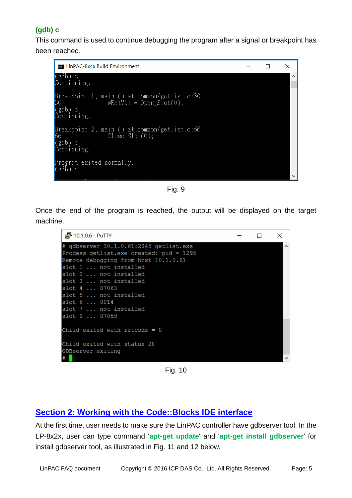# **(gdb) c**

This command is used to continue debugging the program after a signal or breakpoint has been reached.

```
LinPAC-8x4x Build Environment
                                                             \Box\times(gdb) c
Continuing.
.<br>(gdb) c<br>Continuing.
Breakpoint 2, main () at common/getlist.c:66
               Close\_Slot(0);66.
(gdb) c
Continuing.
Program exited normally.
(gdb) q
```
Fig. 9

Once the end of the program is reached, the output will be displayed on the target machine.



Fig. 10

# **Section 2: Working with the Code::Blocks IDE interface**

At the first time, user needs to make sure the LinPAC controller have gdbserver tool. In the LP-8x2x, user can type command '**apt-get update**' and '**apt-get install gdbserver**' for install gdbserver tool, as illustrated in Fig. 11 and 12 below.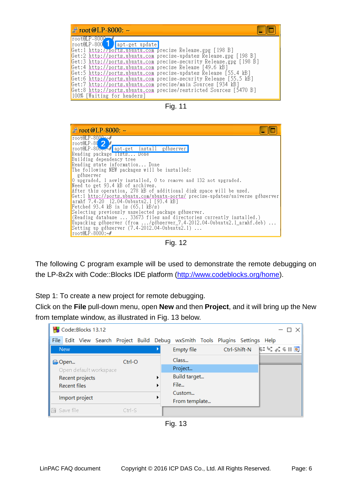| $root@P-800P-4$                                                                                                                                                                                                                                                 | $\mathbb{R}^2$ root @LP-8000: $\sim$                                                                                                                                                                                                                                                                  |
|-----------------------------------------------------------------------------------------------------------------------------------------------------------------------------------------------------------------------------------------------------------------|-------------------------------------------------------------------------------------------------------------------------------------------------------------------------------------------------------------------------------------------------------------------------------------------------------|
| Get:4 http://ports.ubuntu.com precise Release [49.6 kB]<br>Get:6 http://ports.ubuntu.com precise–security Release [55.5 kB]<br>Get:7 http://ports.ubuntu.com precise/main Sources [934 kB]<br>Get:8 http://ports.ubuntu.com precise/restricted Sources [5470 B] | root@LP-800 apt-get update<br>Get:1 http://ports.ubuntu.com precise Release.gpg [198 B]<br>Get:2 http://ports.ubuntu.com precise-updates Release.gpg [198 B]<br>Get:3 http://ports.ubuntu.com precise-security Release.gpg [198 B]<br>Get:5 http://ports.ubuntu.com precise-updates Release [55.4 kB] |





Fig. 12

The following C program example will be used to demonstrate the remote debugging on the LP-8x2x with Code::Blocks IDE platform ([http://www.codeblocks.org/home\)](http://www.codeblocks.org/home).

Step 1: To create a new project for remote debugging.

Click on the **File** pull-down menu, open **New** and then **Project**, and it will bring up the New from template window, as illustrated in Fig. 13 below.

| Code::Blocks 13.12     |                                                                               |   |                   |  |              | – □ ×                                                                                                  |
|------------------------|-------------------------------------------------------------------------------|---|-------------------|--|--------------|--------------------------------------------------------------------------------------------------------|
|                        | File Edit View Search Project Build Debug wxSmith Tools Plugins Settings Help |   |                   |  |              |                                                                                                        |
| <b>New</b>             |                                                                               |   | <b>Empty file</b> |  | Ctrl-Shift-N | $\mathbb{C}^{\bullet} \twoheadrightarrow \mathbb{C}^{\bullet} \subset \mathbb{C} \parallel \mathbb{C}$ |
| <b>B</b> -Open         | $Ctrl-O$                                                                      |   | Class             |  |              |                                                                                                        |
| Open default workspace |                                                                               |   | Project           |  |              |                                                                                                        |
| Recent projects        |                                                                               | ▶ | Build target      |  |              |                                                                                                        |
| <b>Recent files</b>    |                                                                               | ▶ | File              |  |              |                                                                                                        |
|                        |                                                                               |   | Custom            |  |              |                                                                                                        |
| Import project         |                                                                               |   | From template     |  |              |                                                                                                        |
| <b>Ⅰ</b> e Save file   | $Ctrl-S$                                                                      |   |                   |  |              |                                                                                                        |
|                        |                                                                               |   |                   |  |              |                                                                                                        |

Fig. 13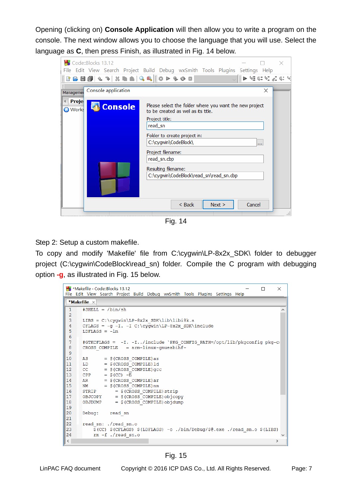Opening (clicking on) **Console Application** will then allow you to write a program on the console. The next window allows you to choose the language that you will use. Select the language as **C**, then press Finish, as illustrated in Fig. 14 below.

| Code::Blocks 13.12<br><b>BAB@\&amp;?\XLAQ&amp; Q&amp; </b> #P\$ <del>@</del> B<br>Console application<br>Managemer | File Edit View Search Project Build Debug wxSmith Tools Plugins Settings Help<br>$\ket{p}$ of an of $q$ and $q$<br>×                                                                    |
|--------------------------------------------------------------------------------------------------------------------|-----------------------------------------------------------------------------------------------------------------------------------------------------------------------------------------|
| Proje<br><b>Console</b><br><b>O</b> Works                                                                          | Please select the folder where you want the new project<br>to be created as well as its title.<br>Project title:<br>read sn<br>Folder to create project in:<br>C:\cygwin\CodeBlock\<br> |
|                                                                                                                    | Project filename:<br>read_sn.cbp<br>Resulting filename:<br>C:\cygwin\CodeBlock\read_sn\read_sn.cbp<br>$<$ Back<br>Cancel<br>Next >                                                      |

Fig. 14

Step 2: Setup a custom makefile.

To copy and modify 'Makefile' file from C:\cygwin\LP-8x2x\_SDK\ folder to debugger project (C:\cygwin\CodeBlock\read\_sn) folder. Compile the C program with debugging option **-g**, as illustrated in Fig. 15 below.

```
*Makefile - Code::Blocks 13.12
                                                                                                 \Box\timesFile Edit View Search Project Build Debug wxSmith Tools Plugins Settings Help
 *Makefile \times#SHELL = /bin(sh)\overline{1}\lambda\overline{2}\overline{3}LIBS = C:\cygwin\LP-8x2x SDK\lib\libi8k.a
 \overline{4}CFLAGS = -g - I. -I C:\cygwin\LP-8x2x SDK\include
       LDFLAGS = -lm\overline{5}\epsilon#GTKCFLAGS = -I. -I../include `PKG_CONFIG_PATH=/opt/lib/pkgconfig pkg-conflust = arm-linux-gnueabinf-
 \overline{7}\overline{8}Q
10AS
                  = $ (CROSS COMPILE) as
11LD= $ (CROSS COMPILE) ld
                  = $ (CROSS COMPILE) qcc12CC\vert13
       CPP= $ (CC) -\overline{E}= $ (CROSS COMPILE) are
14
       AR
\overline{15}NM
                  = $ (CROSS COMPILE) nm
       STRIP
16
                       = $(CROSS COMPILE) strip
17
       OBJCOPY
                       = \frac{1}{2} (CROSS COMPILE) objcopy
                    = $(CROSS_COMPILE) objdump
18
       OBJDUMP
19
20^{-1}Debug: read sn
|_{21}read sn: ./read sn.o
\overline{22}\frac{1}{9} (CC) \frac{1}{9} (CFLAGS) \frac{1}{9} (LDFLAGS) -0. /bin/Debug/\frac{1}{9} exe. /read_sn.o \frac{1}{9} (LIBS)
23
|24rm-f ./read sn.o
\langle\rightarrow
```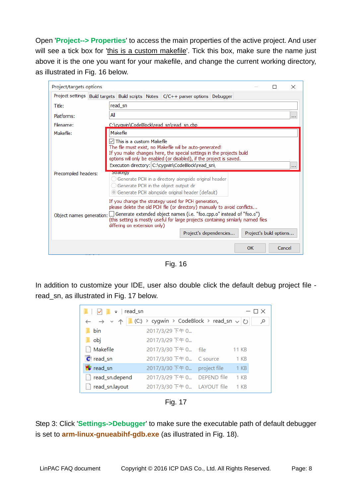Open '**Project--> Properties**' to access the main properties of the active project. And user will see a tick box for 'this is a custom makefile'. Tick this box, make sure the name just above it is the one you want for your makefile, and change the current working directory, as illustrated in Fig. 16 below.

| Project/targets options                                                                                                                                                                                                                                                                                                                                                                                             | x                                                                                                                                                                                                                                                                                                          |  |  |  |  |  |  |
|---------------------------------------------------------------------------------------------------------------------------------------------------------------------------------------------------------------------------------------------------------------------------------------------------------------------------------------------------------------------------------------------------------------------|------------------------------------------------------------------------------------------------------------------------------------------------------------------------------------------------------------------------------------------------------------------------------------------------------------|--|--|--|--|--|--|
|                                                                                                                                                                                                                                                                                                                                                                                                                     | Project settings Build targets Build scripts Notes C/C++ parser options Debugger                                                                                                                                                                                                                           |  |  |  |  |  |  |
| Title:                                                                                                                                                                                                                                                                                                                                                                                                              | read sn                                                                                                                                                                                                                                                                                                    |  |  |  |  |  |  |
| Platforms:                                                                                                                                                                                                                                                                                                                                                                                                          | Αll<br>                                                                                                                                                                                                                                                                                                    |  |  |  |  |  |  |
| Filename:                                                                                                                                                                                                                                                                                                                                                                                                           | C:\cvawin\CodeBlock\read sn\read sn.cbp                                                                                                                                                                                                                                                                    |  |  |  |  |  |  |
| Makefile:                                                                                                                                                                                                                                                                                                                                                                                                           | Makefile                                                                                                                                                                                                                                                                                                   |  |  |  |  |  |  |
|                                                                                                                                                                                                                                                                                                                                                                                                                     | $\triangledown$ This is a custom Makefile<br>The file must exist, no Makefile will be auto-generated!<br>If you make changes here, the special settings in the projects build<br>options will only be enabled (or disabled), if the project is saved.<br>Execution directory: C:\cygwin\CodeBlock\read_sn\ |  |  |  |  |  |  |
| Precompiled headers:                                                                                                                                                                                                                                                                                                                                                                                                | <b>Strategy</b><br>○ Generate PCH in a directory alongside original header<br>◯ Generate PCH in the object output dir<br>• Generate PCH alongside original header (default)                                                                                                                                |  |  |  |  |  |  |
| If you change the strategy used for PCH generation,<br>please delete the old PCH file (or directory) manually to avoid conflicts<br>Object names generation: $\Box$ Generate extended object names (i.e. "foo.cpp.o" instead of "foo.o")<br>(this setting is mostly useful for large projects containing similarly named files<br>differing on extension only)<br>Project's dependencies<br>Project's build options |                                                                                                                                                                                                                                                                                                            |  |  |  |  |  |  |
|                                                                                                                                                                                                                                                                                                                                                                                                                     | OK<br>Cancel                                                                                                                                                                                                                                                                                               |  |  |  |  |  |  |

Fig. 16

In addition to customize your IDE, user also double click the default debug project file read\_sn, as illustrated in Fig. 17 below.

| – ∣read_sn                                                                                            |                             |        | $- \sqcap \times$ |
|-------------------------------------------------------------------------------------------------------|-----------------------------|--------|-------------------|
| $\leftarrow$ $\rightarrow$ $\vee$ $\uparrow$ $\parallel$ (C:) > cygwin > CodeBlock > read_sn $\vee$ U |                             |        |                   |
| bin                                                                                                   | 2017/3/29 下午 0              |        |                   |
| obj                                                                                                   | 2017/3/29 下午 0              |        |                   |
| Makefile                                                                                              | 2017/3/30 下午 0 file         | 11 KB  |                   |
| C read_sn                                                                                             | 2017/3/30 下午 0 C source     | 1 KB   |                   |
| <b>B</b> read_sn                                                                                      | 2017/3/30 下午 0 project file | $1$ KB |                   |
| read_sn.depend                                                                                        | 2017/3/29 下午 0 DEPEND file  | $1$ KB |                   |
| read_sn.layout                                                                                        | 2017/3/30 下午 0 LAYOUT file  | 1 KB   |                   |

Fig. 17

Step 3: Click '**Settings->Debugger**' to make sure the executable path of default debugger is set to **arm-linux-gnueabihf-gdb.exe** (as illustrated in Fig. 18).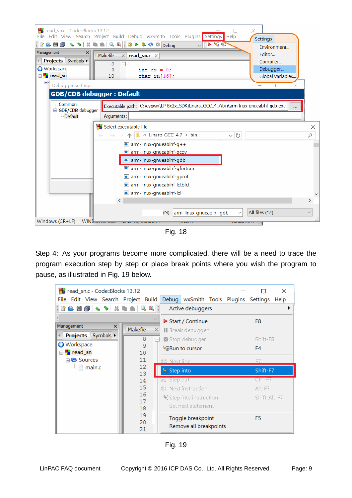

Fig. 18

Step 4: As your programs become more complicated, there will be a need to trace the program execution step by step or place break points where you wish the program to pause, as illustrated in Fig. 19 below.

| read_sn.c - Code::Blocks 13.12<br>×           |                         |          |                          |                                             |  |  |                |  |
|-----------------------------------------------|-------------------------|----------|--------------------------|---------------------------------------------|--|--|----------------|--|
| File Edit View Search Project Build           |                         |          |                          | Debug wxSmith Tools Plugins Settings Help   |  |  |                |  |
| <b>   『 心 目 <i>白</i> 』 � っ   ※ ゠ ゠ │ └。</b> ல |                         |          |                          | Active debuggers                            |  |  |                |  |
|                                               |                         |          |                          | ▶ Start / Continue                          |  |  | F <sub>8</sub> |  |
| Management<br>x                               | Makefile                | $\times$ |                          | ∥ Break debugger                            |  |  |                |  |
| <b>Projects</b> Symbols ▶                     | 8                       |          |                          | ⊠ Stop debugger                             |  |  | Shift-F8       |  |
| <b>Workspace</b><br>⊟ Fread_sn                | 9<br>10                 |          |                          | <b><sup>©</sup>ERun to cursor</b>           |  |  | F4             |  |
| <b>E</b> Sources                              | 11                      |          | <b>GE</b> Next line      |                                             |  |  |                |  |
| $\Box$ main.c                                 | $12 \overline{ }$<br>13 |          | Step into                |                                             |  |  | Shift-F7       |  |
|                                               | 14                      |          | $\mathscr{E}_n$ Step out |                                             |  |  | Ctrl-F7        |  |
|                                               | 15                      |          |                          | S: Next instruction                         |  |  | Alt-F7         |  |
|                                               | 16<br>17                |          |                          | Step into instruction                       |  |  | Shift-Alt-F7   |  |
|                                               | 18                      |          |                          | Set next statement                          |  |  |                |  |
|                                               | 19<br>20<br>21          |          |                          | Toggle breakpoint<br>Remove all breakpoints |  |  | F <sub>5</sub> |  |

Fig. 19